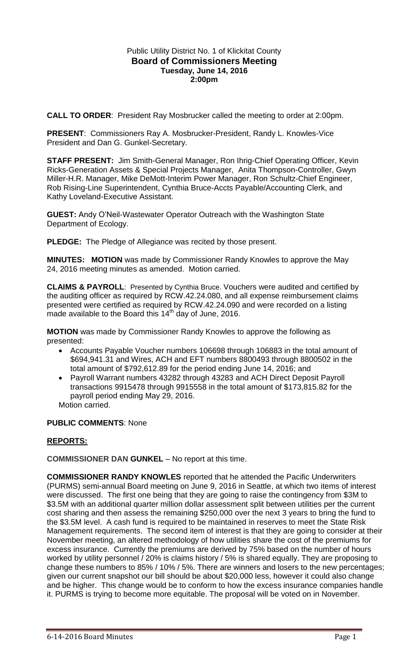## Public Utility District No. 1 of Klickitat County **Board of Commissioners Meeting Tuesday, June 14, 2016 2:00pm**

**CALL TO ORDER**: President Ray Mosbrucker called the meeting to order at 2:00pm.

**PRESENT**: Commissioners Ray A. Mosbrucker-President, Randy L. Knowles-Vice President and Dan G. Gunkel-Secretary.

**STAFF PRESENT:** Jim Smith-General Manager, Ron Ihrig-Chief Operating Officer, Kevin Ricks-Generation Assets & Special Projects Manager, Anita Thompson-Controller, Gwyn Miller-H.R. Manager, Mike DeMott-Interim Power Manager, Ron Schultz-Chief Engineer, Rob Rising-Line Superintendent, Cynthia Bruce-Accts Payable/Accounting Clerk, and Kathy Loveland-Executive Assistant.

**GUEST:** Andy O'Neil-Wastewater Operator Outreach with the Washington State Department of Ecology.

**PLEDGE:** The Pledge of Allegiance was recited by those present.

**MINUTES: MOTION** was made by Commissioner Randy Knowles to approve the May 24, 2016 meeting minutes as amended. Motion carried.

**CLAIMS & PAYROLL**: Presented by Cynthia Bruce. Vouchers were audited and certified by the auditing officer as required by RCW.42.24.080, and all expense reimbursement claims presented were certified as required by RCW.42.24.090 and were recorded on a listing made available to the Board this 14<sup>th</sup> day of June, 2016.

**MOTION** was made by Commissioner Randy Knowles to approve the following as presented:

- Accounts Payable Voucher numbers 106698 through 106883 in the total amount of \$694,941.31 and Wires, ACH and EFT numbers 8800493 through 8800502 in the total amount of \$792,612.89 for the period ending June 14, 2016; and
- Payroll Warrant numbers 43282 through 43283 and ACH Direct Deposit Payroll transactions 9915478 through 9915558 in the total amount of \$173,815.82 for the payroll period ending May 29, 2016.

Motion carried.

# **PUBLIC COMMENTS**: None

# **REPORTS:**

**COMMISSIONER DAN GUNKEL** – No report at this time.

**COMMISSIONER RANDY KNOWLES** reported that he attended the Pacific Underwriters (PURMS) semi-annual Board meeting on June 9, 2016 in Seattle, at which two items of interest were discussed. The first one being that they are going to raise the contingency from \$3M to \$3.5M with an additional quarter million dollar assessment split between utilities per the current cost sharing and then assess the remaining \$250,000 over the next 3 years to bring the fund to the \$3.5M level. A cash fund is required to be maintained in reserves to meet the State Risk Management requirements. The second item of interest is that they are going to consider at their November meeting, an altered methodology of how utilities share the cost of the premiums for excess insurance. Currently the premiums are derived by 75% based on the number of hours worked by utility personnel / 20% is claims history / 5% is shared equally. They are proposing to change these numbers to 85% / 10% / 5%. There are winners and losers to the new percentages; given our current snapshot our bill should be about \$20,000 less, however it could also change and be higher. This change would be to conform to how the excess insurance companies handle it. PURMS is trying to become more equitable. The proposal will be voted on in November.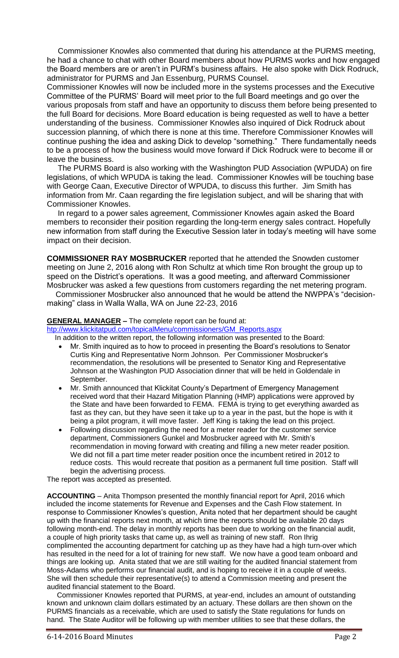Commissioner Knowles also commented that during his attendance at the PURMS meeting, he had a chance to chat with other Board members about how PURMS works and how engaged the Board members are or aren't in PURM's business affairs. He also spoke with Dick Rodruck, administrator for PURMS and Jan Essenburg, PURMS Counsel.

Commissioner Knowles will now be included more in the systems processes and the Executive Committee of the PURMS' Board will meet prior to the full Board meetings and go over the various proposals from staff and have an opportunity to discuss them before being presented to the full Board for decisions. More Board education is being requested as well to have a better understanding of the business. Commissioner Knowles also inquired of Dick Rodruck about succession planning, of which there is none at this time. Therefore Commissioner Knowles will continue pushing the idea and asking Dick to develop "something." There fundamentally needs to be a process of how the business would move forward if Dick Rodruck were to become ill or leave the business.

 The PURMS Board is also working with the Washington PUD Association (WPUDA) on fire legislations, of which WPUDA is taking the lead. Commissioner Knowles will be touching base with George Caan, Executive Director of WPUDA, to discuss this further. Jim Smith has information from Mr. Caan regarding the fire legislation subject, and will be sharing that with Commissioner Knowles.

 In regard to a power sales agreement, Commissioner Knowles again asked the Board members to reconsider their position regarding the long-term energy sales contract. Hopefully new information from staff during the Executive Session later in today's meeting will have some impact on their decision.

**COMMISSIONER RAY MOSBRUCKER** reported that he attended the Snowden customer meeting on June 2, 2016 along with Ron Schultz at which time Ron brought the group up to speed on the District's operations. It was a good meeting, and afterward Commissioner Mosbrucker was asked a few questions from customers regarding the net metering program.

 Commissioner Mosbrucker also announced that he would be attend the NWPPA's "decisionmaking" class in Walla Walla, WA on June 22-23, 2016

## **GENERAL MANAGER –** The complete report can be found at:

[htp://www.klickitatpud.com/topicalMenu/commissioners/GM\\_Reports.aspx](http://www.klickitatpud.com/topicalMenu/commissioners/GM_Reports.aspx)

In addition to the written report, the following information was presented to the Board:

- Mr. Smith inquired as to how to proceed in presenting the Board's resolutions to Senator Curtis King and Representative Norm Johnson. Per Commissioner Mosbrucker's recommendation, the resolutions will be presented to Senator King and Representative Johnson at the Washington PUD Association dinner that will be held in Goldendale in September.
- Mr. Smith announced that Klickitat County's Department of Emergency Management received word that their Hazard Mitigation Planning (HMP) applications were approved by the State and have been forwarded to FEMA. FEMA is trying to get everything awarded as fast as they can, but they have seen it take up to a year in the past, but the hope is with it being a pilot program, it will move faster. Jeff King is taking the lead on this project.
- Following discussion regarding the need for a meter reader for the customer service department, Commissioners Gunkel and Mosbrucker agreed with Mr. Smith's recommendation in moving forward with creating and filling a new meter reader position. We did not fill a part time meter reader position once the incumbent retired in 2012 to reduce costs. This would recreate that position as a permanent full time position. Staff will begin the advertising process.

The report was accepted as presented.

**ACCOUNTING** – Anita Thompson presented the monthly financial report for April, 2016 which included the income statements for Revenue and Expenses and the Cash Flow statement. In response to Commissioner Knowles's question, Anita noted that her department should be caught up with the financial reports next month, at which time the reports should be available 20 days following month-end. The delay in monthly reports has been due to working on the financial audit, a couple of high priority tasks that came up, as well as training of new staff. Ron Ihrig complimented the accounting department for catching up as they have had a high turn-over which has resulted in the need for a lot of training for new staff. We now have a good team onboard and things are looking up. Anita stated that we are still waiting for the audited financial statement from Moss-Adams who performs our financial audit, and is hoping to receive it in a couple of weeks. She will then schedule their representative(s) to attend a Commission meeting and present the audited financial statement to the Board.

 Commissioner Knowles reported that PURMS, at year-end, includes an amount of outstanding known and unknown claim dollars estimated by an actuary. These dollars are then shown on the PURMS financials as a receivable, which are used to satisfy the State regulations for funds on hand. The State Auditor will be following up with member utilities to see that these dollars, the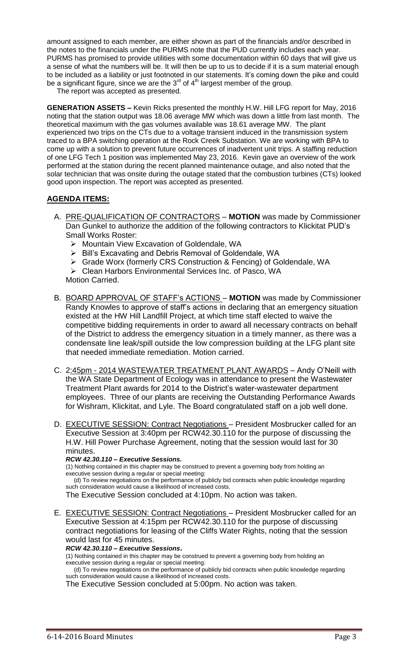amount assigned to each member, are either shown as part of the financials and/or described in the notes to the financials under the PURMS note that the PUD currently includes each year. PURMS has promised to provide utilities with some documentation within 60 days that will give us a sense of what the numbers will be. It will then be up to us to decide if it is a sum material enough to be included as a liability or just footnoted in our statements. It's coming down the pike and could be a significant figure, since we are the  $3<sup>rd</sup>$  of  $4<sup>th</sup>$  largest member of the group.

The report was accepted as presented.

**GENERATION ASSETS –** Kevin Ricks presented the monthly H.W. Hill LFG report for May, 2016 noting that the station output was 18.06 average MW which was down a little from last month. The theoretical maximum with the gas volumes available was 18.61 average MW. The plant experienced two trips on the CTs due to a voltage transient induced in the transmission system traced to a BPA switching operation at the Rock Creek Substation. We are working with BPA to come up with a solution to prevent future occurrences of inadvertent unit trips. A staffing reduction of one LFG Tech 1 position was implemented May 23, 2016. Kevin gave an overview of the work performed at the station during the recent planned maintenance outage, and also noted that the solar technician that was onsite during the outage stated that the combustion turbines (CTs) looked good upon inspection. The report was accepted as presented.

# **AGENDA ITEMS:**

- A. PRE-QUALIFICATION OF CONTRACTORS **MOTION** was made by Commissioner Dan Gunkel to authorize the addition of the following contractors to Klickitat PUD's Small Works Roster:
	- ▶ Mountain View Excavation of Goldendale, WA
	- ▶ Bill's Excavating and Debris Removal of Goldendale, WA
	- Grade Worx (formerly CRS Construction & Fencing) of Goldendale, WA
	- Clean Harbors Environmental Services Inc. of Pasco, WA
	- Motion Carried.
- B. BOARD APPROVAL OF STAFF's ACTIONS **MOTION** was made by Commissioner Randy Knowles to approve of staff's actions in declaring that an emergency situation existed at the HW Hill Landfill Project, at which time staff elected to waive the competitive bidding requirements in order to award all necessary contracts on behalf of the District to address the emergency situation in a timely manner, as there was a condensate line leak/spill outside the low compression building at the LFG plant site that needed immediate remediation. Motion carried.
- C. 2:45pm 2014 WASTEWATER TREATMENT PLANT AWARDS Andy O'Neill with the WA State Department of Ecology was in attendance to present the Wastewater Treatment Plant awards for 2014 to the District's water-wastewater department employees. Three of our plants are receiving the Outstanding Performance Awards for Wishram, Klickitat, and Lyle. The Board congratulated staff on a job well done.
- D. EXECUTIVE SESSION: Contract Negotiations President Mosbrucker called for an Executive Session at 3:40pm per RCW42.30.110 for the purpose of discussing the H.W. Hill Power Purchase Agreement, noting that the session would last for 30 minutes.

### *RCW 42.30.110 – Executive Sessions.*

(1) Nothing contained in this chapter may be construed to prevent a governing body from holding an executive session during a regular or special meeting:

 (d) To review negotiations on the performance of publicly bid contracts when public knowledge regarding such consideration would cause a likelihood of increased costs.

The Executive Session concluded at 4:10pm. No action was taken.

E. EXECUTIVE SESSION: Contract Negotiations – President Mosbrucker called for an Executive Session at 4:15pm per RCW42.30.110 for the purpose of discussing contract negotiations for leasing of the Cliffs Water Rights, noting that the session would last for 45 minutes.

### *RCW 42.30.110 – Executive Sessions***.**

(1) Nothing contained in this chapter may be construed to prevent a governing body from holding an executive session during a regular or special meeting:

 (d) To review negotiations on the performance of publicly bid contracts when public knowledge regarding such consideration would cause a likelihood of increased costs.

The Executive Session concluded at 5:00pm. No action was taken.